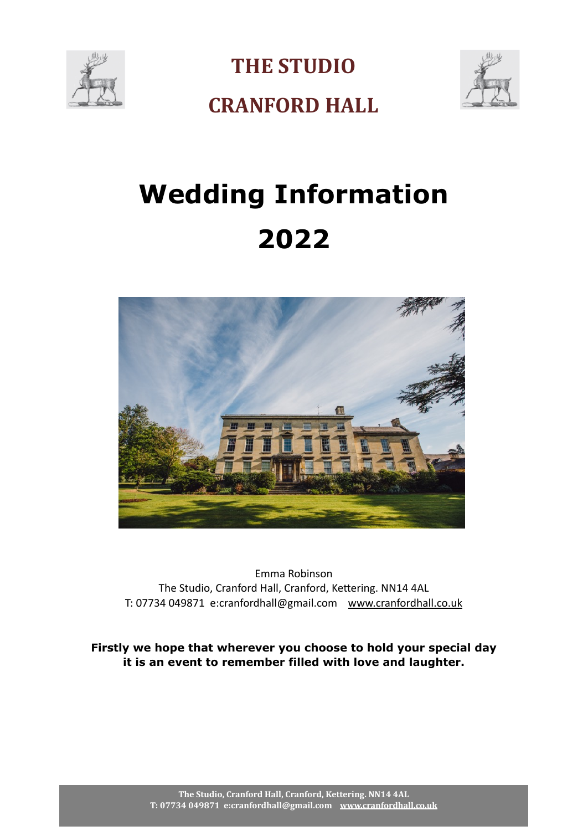

**THE STUDIO** 



**CRANFORD HALL** 

# **Wedding Information 2022**



Emma Robinson The Studio, Cranford Hall, Cranford, Kettering. NN14 4AL T: 07734 049871 e:cranfordhall@gmail.com [www.cranfordhall.co.uk](http://www.cranfordhall.co.uk)

**Firstly we hope that wherever you choose to hold your special day it is an event to remember filled with love and laughter.**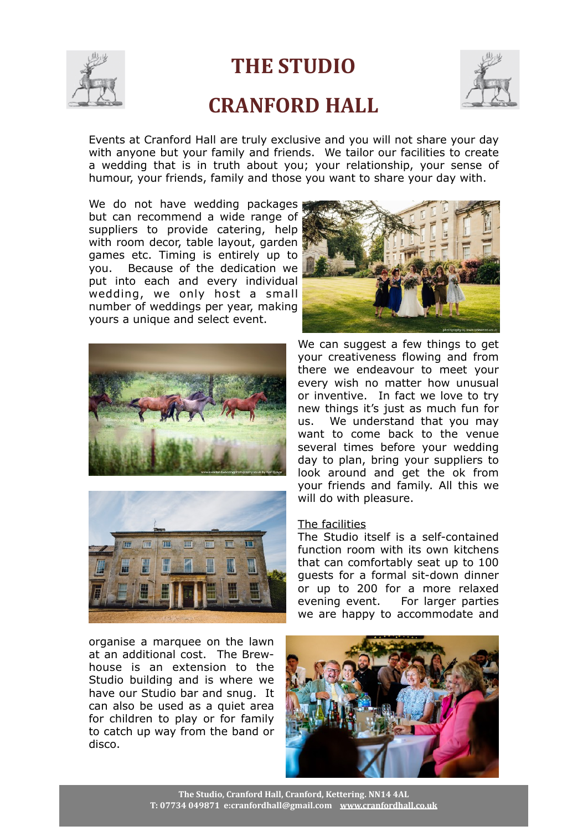

## **THE STUDIO CRANFORD HALL**



Events at Cranford Hall are truly exclusive and you will not share your day with anyone but your family and friends. We tailor our facilities to create a wedding that is in truth about you; your relationship, your sense of humour, your friends, family and those you want to share your day with.

We do not have wedding packages but can recommend a wide range of suppliers to provide catering, help with room decor, table layout, garden games etc. Timing is entirely up to you. Because of the dedication we put into each and every individual wedding, we only host a small number of weddings per year, making yours a unique and select event.





organise a marquee on the lawn at an additional cost. The Brewhouse is an extension to the Studio building and is where we have our Studio bar and snug. It can also be used as a quiet area for children to play or for family to catch up way from the band or disco.



We can suggest a few things to get your creativeness flowing and from there we endeavour to meet your every wish no matter how unusual or inventive. In fact we love to try new things it's just as much fun for us. We understand that you may want to come back to the venue several times before your wedding day to plan, bring your suppliers to look around and get the ok from your friends and family. All this we will do with pleasure.

#### The facilities

The Studio itself is a self-contained function room with its own kitchens that can comfortably seat up to 100 guests for a formal sit-down dinner or up to 200 for a more relaxed evening event. For larger parties we are happy to accommodate and

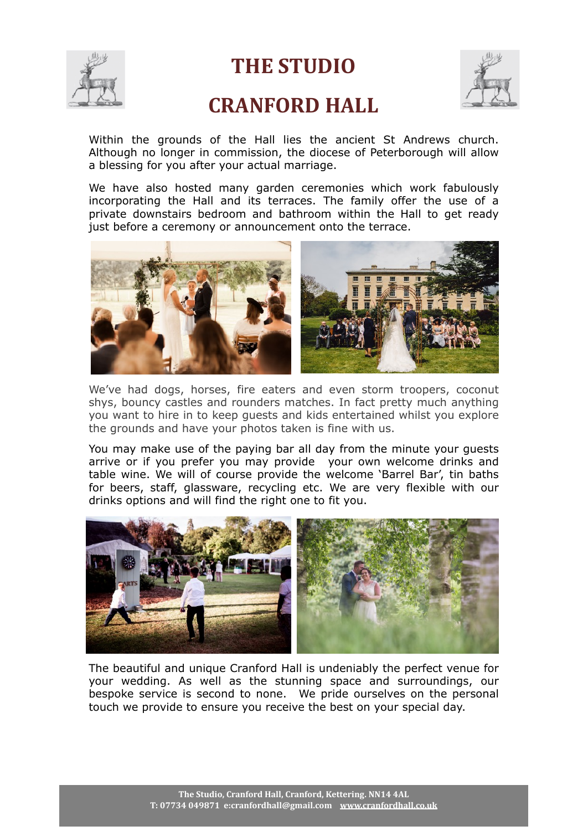

## **THE STUDIO**

## **CRANFORD HALL**



Within the grounds of the Hall lies the ancient St Andrews church. Although no longer in commission, the diocese of Peterborough will allow a blessing for you after your actual marriage.

We have also hosted many garden ceremonies which work fabulously incorporating the Hall and its terraces. The family offer the use of a private downstairs bedroom and bathroom within the Hall to get ready just before a ceremony or announcement onto the terrace.



We've had dogs, horses, fire eaters and even storm troopers, coconut shys, bouncy castles and rounders matches. In fact pretty much anything you want to hire in to keep guests and kids entertained whilst you explore the grounds and have your photos taken is fine with us.

You may make use of the paying bar all day from the minute your guests arrive or if you prefer you may provide your own welcome drinks and table wine. We will of course provide the welcome 'Barrel Bar', tin baths for beers, staff, glassware, recycling etc. We are very flexible with our drinks options and will find the right one to fit you.



The beautiful and unique Cranford Hall is undeniably the perfect venue for your wedding. As well as the stunning space and surroundings, our bespoke service is second to none. We pride ourselves on the personal touch we provide to ensure you receive the best on your special day.